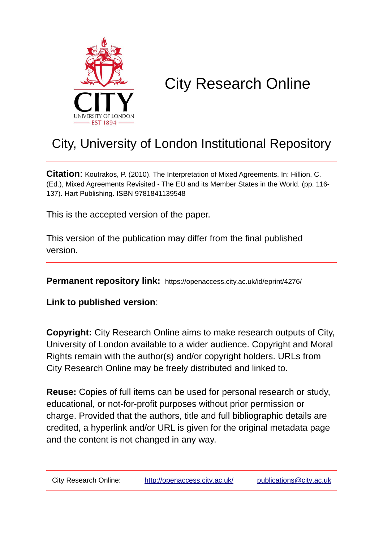

# City Research Online

## City, University of London Institutional Repository

**Citation**: Koutrakos, P. (2010). The Interpretation of Mixed Agreements. In: Hillion, C. (Ed.), Mixed Agreements Revisited - The EU and its Member States in the World. (pp. 116- 137). Hart Publishing. ISBN 9781841139548

This is the accepted version of the paper.

This version of the publication may differ from the final published version.

**Permanent repository link:** https://openaccess.city.ac.uk/id/eprint/4276/

**Link to published version**:

**Copyright:** City Research Online aims to make research outputs of City, University of London available to a wider audience. Copyright and Moral Rights remain with the author(s) and/or copyright holders. URLs from City Research Online may be freely distributed and linked to.

**Reuse:** Copies of full items can be used for personal research or study, educational, or not-for-profit purposes without prior permission or charge. Provided that the authors, title and full bibliographic details are credited, a hyperlink and/or URL is given for the original metadata page and the content is not changed in any way.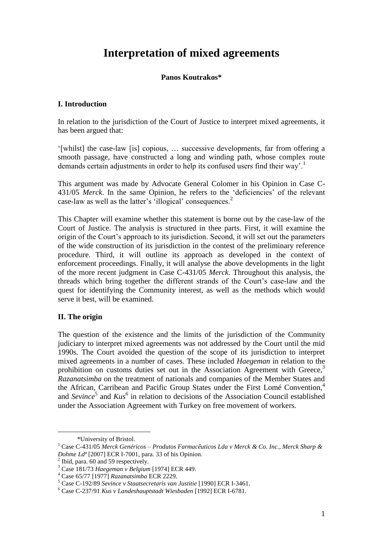### **Interpretation of mixed agreements**

#### **Panos Koutrakos\***

#### **I. Introduction**

In relation to the jurisdiction of the Court of Justice to interpret mixed agreements, it has been argued that:

'[whilst] the case-law [is] copious, … successive developments, far from offering a smooth passage, have constructed a long and winding path, whose complex route demands certain adjustments in order to help its confused users find their way'.<sup>1</sup>

This argument was made by Advocate General Colomer in his Opinion in Case C-431/05 *Merck*. In the same Opinion, he refers to the 'deficiencies' of the relevant case-law as well as the latter's 'illogical' consequences.<sup>2</sup>

This Chapter will examine whether this statement is borne out by the case-law of the Court of Justice. The analysis is structured in thee parts. First, it will examine the origin of the Court's approach to its jurisdiction. Second, it will set out the parameters of the wide construction of its jurisdiction in the contest of the preliminary reference procedure. Third, it will outline its approach as developed in the context of enforcement proceedings. Finally, it will analyse the above developments in the light of the more recent judgment in Case C-431/05 *Merck*. Throughout this analysis, the threads which bring together the different strands of the Court's case-law and the quest for identifying the Community interest, as well as the methods which would serve it best, will be examined.

#### **II. The origin**

1

The question of the existence and the limits of the jurisdiction of the Community judiciary to interpret mixed agreements was not addressed by the Court until the mid 1990s. The Court avoided the question of the scope of its jurisdiction to interpret mixed agreements in a number of cases. These included *Haegeman* in relation to the prohibition on customs duties set out in the Association Agreement with Greece,<sup>3</sup> *Razanatsimba* on the treatment of nationals and companies of the Member States and the African, Carribean and Pacific Group States under the First Lomé Convention,<sup>4</sup> and *Sevince*<sup>5</sup> and *Kus*<sup>6</sup> in relation to decisions of the Association Council established under the Association Agreement with Turkey on free movement of workers.

 <sup>\*</sup>University of Bristol.

<sup>1</sup> Case C-431/05 *Merck Genéricos – Produtos Farmacêuticos Lda v Merck & Co. Inc., Merck Sharp & Dohme Ldª* [2007] ECR I-7001, para. 33 of his Opinion.

<sup>&</sup>lt;sup>2</sup> Ibid, para. 60 and 59 respectively.

<sup>3</sup> Case 181/73 *Haegeman v Belgium* [1974] ECR 449.

<sup>4</sup> Case 65/77 [1977] *Razanatsimba* ECR 2229.

<sup>5</sup> Case C-192/89 *Sevince v Staatsecretaris van Justitie* [1990] ECR I-3461.

<sup>6</sup> Case C-237/91 *Kus v Landeshauptstadt Wiesbaden* [1992] ECR I-6781.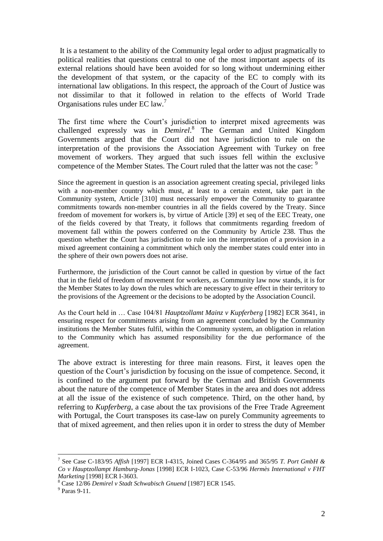It is a testament to the ability of the Community legal order to adjust pragmatically to political realities that questions central to one of the most important aspects of its external relations should have been avoided for so long without undermining either the development of that system, or the capacity of the EC to comply with its international law obligations. In this respect, the approach of the Court of Justice was not dissimilar to that it followed in relation to the effects of World Trade Organisations rules under EC law.<sup>7</sup>

The first time where the Court's jurisdiction to interpret mixed agreements was challenged expressly was in *Demirel*. 8 The German and United Kingdom Governments argued that the Court did not have jurisdiction to rule on the interpretation of the provisions the Association Agreement with Turkey on free movement of workers. They argued that such issues fell within the exclusive competence of the Member States. The Court ruled that the latter was not the case: <sup>9</sup>

Since the agreement in question is an association agreement creating special, privileged links with a non-member country which must, at least to a certain extent, take part in the Community system, Article [310] must necessarily empower the Community to guarantee commitments towards non-member countries in all the fields covered by the Treaty. Since freedom of movement for workers is, by virtue of Article [39] et seq of the EEC Treaty, one of the fields covered by that Treaty, it follows that commitments regarding freedom of movement fall within the powers conferred on the Community by Article 238. Thus the question whether the Court has jurisdiction to rule ion the interpretation of a provision in a mixed agreement containing a commitment which only the member states could enter into in the sphere of their own powers does not arise.

Furthermore, the jurisdiction of the Court cannot be called in question by virtue of the fact that in the field of freedom of movement for workers, as Community law now stands, it is for the Member States to lay down the rules which are necessary to give effect in their territory to the provisions of the Agreement or the decisions to be adopted by the Association Council.

As the Court held in … Case 104/81 *Hauptzollamt Mainz v Kupferberg* [1982] ECR 3641, in ensuring respect for commitments arising from an agreement concluded by the Community institutions the Member States fulfil, within the Community system, an obligation in relation to the Community which has assumed responsibility for the due performance of the agreement.

The above extract is interesting for three main reasons. First, it leaves open the question of the Court's jurisdiction by focusing on the issue of competence. Second, it is confined to the argument put forward by the German and British Governments about the nature of the competence of Member States in the area and does not address at all the issue of the existence of such competence. Third, on the other hand, by referring to *Kupferberg*, a case about the tax provisions of the Free Trade Agreement with Portugal, the Court transposes its case-law on purely Community agreements to that of mixed agreement, and then relies upon it in order to stress the duty of Member

<sup>7</sup> See Case C-183/95 *Affish* [1997] ECR I-4315, Joined Cases C-364/95 and 365/95 *T. Port GmbH & Co v Hauptzollampt Hamburg-Jonas* [1998] ECR I-1023, Case C-53/96 *Hermès International v FHT Marketing* [1998] ECR I-3603.

<sup>8</sup> Case 12/86 *Demirel v Stadt Schwabisch Gnuend* [1987] ECR 1545.

<sup>9</sup> Paras 9-11.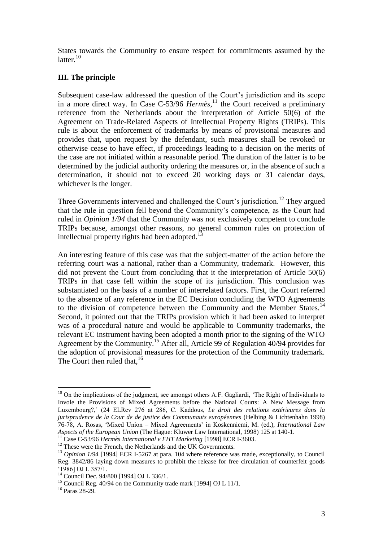States towards the Community to ensure respect for commitments assumed by the latter.<sup>10</sup>

#### **III. The principle**

Subsequent case-law addressed the question of the Court's jurisdiction and its scope in a more direct way. In Case  $C$ -53/96 *Hermès*,<sup>11</sup> the Court received a preliminary reference from the Netherlands about the interpretation of Article  $50(6)$  of the Agreement on Trade-Related Aspects of Intellectual Property Rights (TRIPs). This rule is about the enforcement of trademarks by means of provisional measures and provides that, upon request by the defendant, such measures shall be revoked or otherwise cease to have effect, if proceedings leading to a decision on the merits of the case are not initiated within a reasonable period. The duration of the latter is to be determined by the judicial authority ordering the measures or, in the absence of such a determination, it should not to exceed 20 working days or 31 calendar days, whichever is the longer.

Three Governments intervened and challenged the Court's jurisdiction.<sup>12</sup> They argued that the rule in question fell beyond the Community's competence, as the Court had ruled in *Opinion 1/94* that the Community was not exclusively competent to conclude TRIPs because, amongst other reasons, no general common rules on protection of intellectual property rights had been adopted.<sup>13</sup>

An interesting feature of this case was that the subject-matter of the action before the referring court was a national, rather than a Community, trademark. However, this did not prevent the Court from concluding that it the interpretation of Article 50(6) TRIPs in that case fell within the scope of its jurisdiction. This conclusion was substantiated on the basis of a number of interrelated factors. First, the Court referred to the absence of any reference in the EC Decision concluding the WTO Agreements to the division of competence between the Community and the Member States.<sup>14</sup> Second, it pointed out that the TRIPs provision which it had been asked to interpret was of a procedural nature and would be applicable to Community trademarks, the relevant EC instrument having been adopted a month prior to the signing of the WTO Agreement by the Community. <sup>15</sup> After all, Article 99 of Regulation 40/94 provides for the adoption of provisional measures for the protection of the Community trademark. The Court then ruled that,  $16$ 

 $10$  On the implications of the judgment, see amongst others A.F. Gagliardi, 'The Right of Individuals to Invole the Provisions of Mixed Agreements before the National Courts: A New Message from Luxembourg?,' (24 ELRev 276 at 286, C. Kaddous, *Le droit des relations extérieures dans la jurisprudence de la Cour de de justice des Communauts européennes* (Helbing & Lichtenhahn 1998) 76-78, A. Rosas, 'Mixed Union – Mixed Agreements' in Koskenniemi, M. (ed.), *International Law Aspects of the European Union* (The Hague: Kluwer Law International, 1998) 125 at 140-1.

<sup>&</sup>lt;sup>11</sup> Case C-53/96 *Hermès International v FHT Marketing* [1998] ECR I-3603.

<sup>&</sup>lt;sup>12</sup> These were the French, the Netherlands and the UK Governments.

<sup>&</sup>lt;sup>13</sup> *Opinion 1/94* [1994] ECR I-5267 at para. 104 where reference was made, exceptionally, to Council Reg. 3842/86 laying down measures to prohibit the release for free circulation of counterfeit goods '1986] OJ L 357/1.

<sup>14</sup> Council Dec. 94/800 [1994] OJ L 336/1.

<sup>&</sup>lt;sup>15</sup> Council Reg.  $40/94$  on the Community trade mark [1994] OJ L 11/1.

<sup>16</sup> Paras 28-29.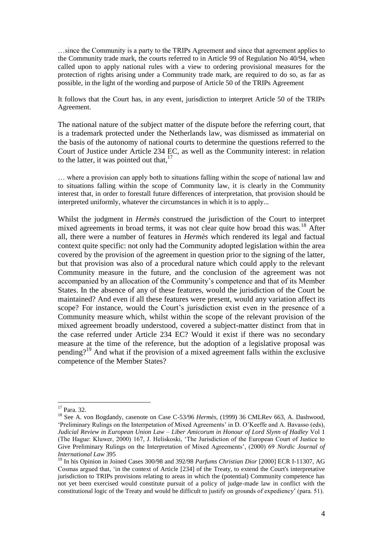…since the Community is a party to the TRIPs Agreement and since that agreement applies to the Community trade mark, the courts referred to in Article 99 of Regulation No 40/94, when called upon to apply national rules with a view to ordering provisional measures for the protection of rights arising under a Community trade mark, are required to do so, as far as possible, in the light of the wording and purpose of Article 50 of the TRIPs Agreement

It follows that the Court has, in any event, jurisdiction to interpret Article 50 of the TRIPs Agreement.

The national nature of the subject matter of the dispute before the referring court, that is a trademark protected under the Netherlands law, was dismissed as immaterial on the basis of the autonomy of national courts to determine the questions referred to the Court of Justice under Article 234 EC, as well as the Community interest: in relation to the latter, it was pointed out that,  $17$ 

… where a provision can apply both to situations falling within the scope of national law and to situations falling within the scope of Community law, it is clearly in the Community interest that, in order to forestall future differences of interpretation, that provision should be interpreted uniformly, whatever the circumstances in which it is to apply...

Whilst the judgment in *Hermès* construed the jurisdiction of the Court to interpret mixed agreements in broad terms, it was not clear quite how broad this was.<sup>18</sup> After all, there were a number of features in *Hermès* which rendered its legal and factual context quite specific: not only had the Community adopted legislation within the area covered by the provision of the agreement in question prior to the signing of the latter, but that provision was also of a procedural nature which could apply to the relevant Community measure in the future, and the conclusion of the agreement was not accompanied by an allocation of the Community's competence and that of its Member States. In the absence of any of these features, would the jurisdiction of the Court be maintained? And even if all these features were present, would any variation affect its scope? For instance, would the Court's jurisdiction exist even in the presence of a Community measure which, whilst within the scope of the relevant provision of the mixed agreement broadly understood, covered a subject-matter distinct from that in the case referred under Article 234 EC? Would it exist if there was no secondary measure at the time of the reference, but the adoption of a legislative proposal was pending?<sup>19</sup> And what if the provision of a mixed agreement falls within the exclusive competence of the Member States?

<sup>17</sup> Para. 32.

<sup>18</sup> See A. von Bogdandy, casenote on Case C-53/96 *Hermès*, (1999) 36 CMLRev 663, A. Dashwood, 'Preliminary Rulings on the Interrpetation of Mixed Agreements' in D. O'Keeffe and A. Bavasso (eds), *Judicial Review in European Union Law – Liber Amicorum in Honour of Lord Slynn of Hadley* Vol 1 (The Hague: Kluwer, 2000) 167, J. Heliskoski, 'The Jurisdiction of the European Court of Justice to Give Preliminary Rulings on the Interpretation of Mixed Agreements', (2000) 69 *Nordic Journal of International Law* 395

<sup>19</sup> In his Opinion in Joined Cases 300/98 and 392/98 *Parfums Christian Dior* [2000] ECR I-11307, AG Cosmas argued that, 'in the context of Article [234] of the Treaty, to extend the Court's interpretative jurisdiction to TRIPs provisions relating to areas in which the (potential) Community competence has not yet been exercised would constitute pursuit of a policy of judge-made law in conflict with the constitutional logic of the Treaty and would be difficult to justify on grounds of expediency' (para. 51).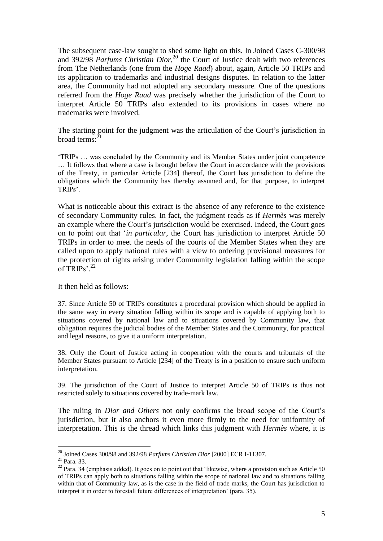The subsequent case-law sought to shed some light on this. In Joined Cases C-300/98 and 392/98 Parfums Christian Dior,<sup>20</sup> the Court of Justice dealt with two references from The Netherlands (one from the *Hoge Raad*) about, again, Article 50 TRIPs and its application to trademarks and industrial designs disputes. In relation to the latter area, the Community had not adopted any secondary measure. One of the questions referred from the *Hoge Raad* was precisely whether the jurisdiction of the Court to interpret Article 50 TRIPs also extended to its provisions in cases where no trademarks were involved.

The starting point for the judgment was the articulation of the Court's jurisdiction in broad terms: $^{21}$ 

'TRIPs … was concluded by the Community and its Member States under joint competence … It follows that where a case is brought before the Court in accordance with the provisions of the Treaty, in particular Article [234] thereof, the Court has jurisdiction to define the obligations which the Community has thereby assumed and, for that purpose, to interpret TRIPs'.

What is noticeable about this extract is the absence of any reference to the existence of secondary Community rules. In fact, the judgment reads as if *Hermès* was merely an example where the Court's jurisdiction would be exercised. Indeed, the Court goes on to point out that '*in particular*, the Court has jurisdiction to interpret Article 50 TRIPs in order to meet the needs of the courts of the Member States when they are called upon to apply national rules with a view to ordering provisional measures for the protection of rights arising under Community legislation falling within the scope of TRIPs'. $^{22}$ 

It then held as follows:

37. Since Article 50 of TRIPs constitutes a procedural provision which should be applied in the same way in every situation falling within its scope and is capable of applying both to situations covered by national law and to situations covered by Community law, that obligation requires the judicial bodies of the Member States and the Community, for practical and legal reasons, to give it a uniform interpretation.

38. Only the Court of Justice acting in cooperation with the courts and tribunals of the Member States pursuant to Article [234] of the Treaty is in a position to ensure such uniform interpretation.

39. The jurisdiction of the Court of Justice to interpret Article 50 of TRIPs is thus not restricted solely to situations covered by trade-mark law.

The ruling in *Dior and Others* not only confirms the broad scope of the Court's jurisdiction, but it also anchors it even more firmly to the need for uniformity of interpretation. This is the thread which links this judgment with *Hermès* where, it is

<sup>20</sup> Joined Cases 300/98 and 392/98 *Parfums Christian Dior* [2000] ECR I-11307.

<sup>21</sup> Para. 33.

 $22$  Para. 34 (emphasis added). It goes on to point out that 'likewise, where a provision such as Article 50 of TRIPs can apply both to situations falling within the scope of national law and to situations falling within that of Community law, as is the case in the field of trade marks, the Court has jurisdiction to interpret it in order to forestall future differences of interpretation' (para. 35).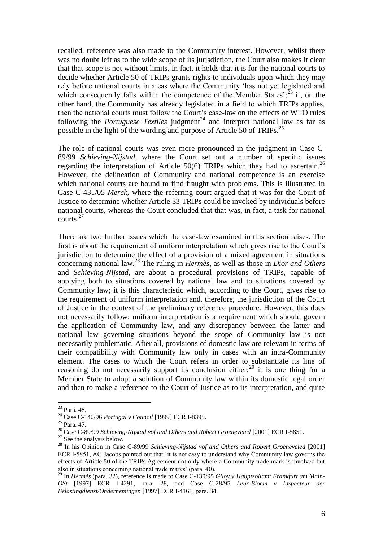recalled, reference was also made to the Community interest. However, whilst there was no doubt left as to the wide scope of its jurisdiction, the Court also makes it clear that that scope is not without limits. In fact, it holds that it is for the national courts to decide whether Article 50 of TRIPs grants rights to individuals upon which they may rely before national courts in areas where the Community 'has not yet legislated and which consequently falls within the competence of the Member States';  $^{23}$  if, on the other hand, the Community has already legislated in a field to which TRIPs applies, then the national courts must follow the Court's case-law on the effects of WTO rules following the *Portuguese Textiles* judgment<sup>24</sup> and interpret national law as far as possible in the light of the wording and purpose of Article 50 of TRIPs.<sup>25</sup>

The role of national courts was even more pronounced in the judgment in Case C-89/99 *Schieving-Nijstad*, where the Court set out a number of specific issues regarding the interpretation of Article 50(6) TRIPs which they had to ascertain.<sup>26</sup> However, the delineation of Community and national competence is an exercise which national courts are bound to find fraught with problems. This is illustrated in Case C-431/05 *Merck*, where the referring court argued that it was for the Court of Justice to determine whether Article 33 TRIPs could be invoked by individuals before national courts, whereas the Court concluded that that was, in fact, a task for national courts.<sup>27</sup>

There are two further issues which the case-law examined in this section raises. The first is about the requirement of uniform interpretation which gives rise to the Court's jurisdiction to determine the effect of a provision of a mixed agreement in situations concerning national law.<sup>28</sup> The ruling in *Hermès*, as well as those in *Dior and Others*  and *Schieving-Nijstad*, are about a procedural provisions of TRIPs, capable of applying both to situations covered by national law and to situations covered by Community law; it is this characteristic which, according to the Court, gives rise to the requirement of uniform interpretation and, therefore, the jurisdiction of the Court of Justice in the context of the preliminary reference procedure. However, this does not necessarily follow: uniform interpretation is a requirement which should govern the application of Community law, and any discrepancy between the latter and national law governing situations beyond the scope of Community law is not necessarily problematic. After all, provisions of domestic law are relevant in terms of their compatibility with Community law only in cases with an intra-Community element. The cases to which the Court refers in order to substantiate its line of reasoning do not necessarily support its conclusion either:<sup>29</sup> it is one thing for a Member State to adopt a solution of Community law within its domestic legal order and then to make a reference to the Court of Justice as to its interpretation, and quite

<sup>23</sup> Para. 48.

<sup>24</sup> Case C-140/96 *Portugal v Council* [1999] ECR I-8395.

<sup>25</sup> Para. 47.

<sup>&</sup>lt;sup>26</sup> Case C-89/99 *Schieving-Nijstad vof and Others and Robert Groeneveled* [2001] ECR I-5851.

 $27$  See the analysis below.

<sup>&</sup>lt;sup>28</sup> In his Opinion in Case C-89/99 *Schieving-Nijstad vof and Others and Robert Groeneveled* [2001] ECR I-5851, AG Jacobs pointed out that 'it is not easy to understand why Community law governs the effects of Article 50 of the TRIPs Agreement not only where a Community trade mark is involved but also in situations concerning national trade marks' (para. 40).

<sup>&</sup>lt;sup>29</sup> In *Hermès* (para. 32), reference is made to Case C-130/95 *Giloy v Hauptzollamt Frankfurt am Main-OSt* [1997] ECR I-4291, para. 28, and Case C-28/95 *Leur-Bloem v Inspecteur der Belastingdienst/Ondernemingen* [1997] ECR I-4161, para. 34.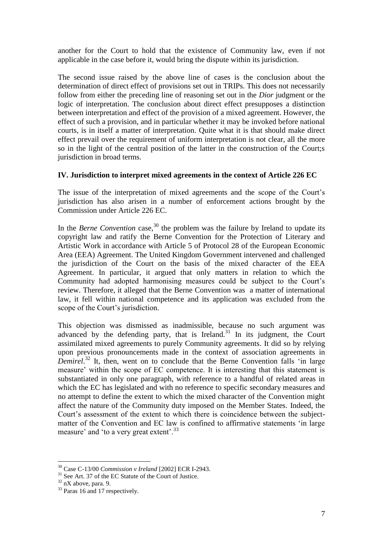another for the Court to hold that the existence of Community law, even if not applicable in the case before it, would bring the dispute within its jurisdiction.

The second issue raised by the above line of cases is the conclusion about the determination of direct effect of provisions set out in TRIPs. This does not necessarily follow from either the preceding line of reasoning set out in the *Dior* judgment or the logic of interpretation. The conclusion about direct effect presupposes a distinction between interpretation and effect of the provision of a mixed agreement. However, the effect of such a provision, and in particular whether it may be invoked before national courts, is in itself a matter of interpretation. Quite what it is that should make direct effect prevail over the requirement of uniform interpretation is not clear, all the more so in the light of the central position of the latter in the construction of the Court;s jurisdiction in broad terms.

#### **IV. Jurisdiction to interpret mixed agreements in the context of Article 226 EC**

The issue of the interpretation of mixed agreements and the scope of the Court's jurisdiction has also arisen in a number of enforcement actions brought by the Commission under Article 226 EC.

In the *Berne Convention* case,<sup>30</sup> the problem was the failure by Ireland to update its copyright law and ratify the Berne Convention for the Protection of Literary and Artistic Work in accordance with Article 5 of Protocol 28 of the European Economic Area (EEA) Agreement. The United Kingdom Government intervened and challenged the jurisdiction of the Court on the basis of the mixed character of the EEA Agreement. In particular, it argued that only matters in relation to which the Community had adopted harmonising measures could be subject to the Court's review. Therefore, it alleged that the Berne Convention was a matter of international law, it fell within national competence and its application was excluded from the scope of the Court's jurisdiction.

This objection was dismissed as inadmissible, because no such argument was advanced by the defending party, that is Ireland.<sup>31</sup> In its judgment, the Court assimilated mixed agreements to purely Community agreements. It did so by relying upon previous pronouncements made in the context of association agreements in *Demirel*. <sup>32</sup> It, then, went on to conclude that the Berne Convention falls 'in large measure' within the scope of EC competence. It is interesting that this statement is substantiated in only one paragraph, with reference to a handful of related areas in which the EC has legislated and with no reference to specific secondary measures and no attempt to define the extent to which the mixed character of the Convention might affect the nature of the Community duty imposed on the Member States. Indeed, the Court's assessment of the extent to which there is coincidence between the subjectmatter of the Convention and EC law is confined to affirmative statements 'in large measure' and 'to a very great extent'.<sup>33</sup>

<sup>30</sup> Case C-13/00 *Commission v Ireland* [2002] ECR I-2943.

<sup>&</sup>lt;sup>31</sup> See Art. 37 of the EC Statute of the Court of Justice.

 $32$  nX above, para. 9.

<sup>&</sup>lt;sup>33</sup> Paras 16 and 17 respectively.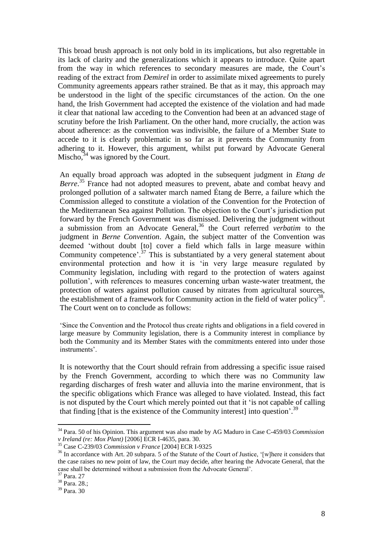This broad brush approach is not only bold in its implications, but also regrettable in its lack of clarity and the generalizations which it appears to introduce. Quite apart from the way in which references to secondary measures are made, the Court's reading of the extract from *Demirel* in order to assimilate mixed agreements to purely Community agreements appears rather strained. Be that as it may, this approach may be understood in the light of the specific circumstances of the action. On the one hand, the Irish Government had accepted the existence of the violation and had made it clear that national law acceding to the Convention had been at an advanced stage of scrutiny before the Irish Parliament. On the other hand, more crucially, the action was about adherence: as the convention was indivisible, the failure of a Member State to accede to it is clearly problematic in so far as it prevents the Community from adhering to it. However, this argument, whilst put forward by Advocate General Mischo,  $34$  was ignored by the Court.

An equally broad approach was adopted in the subsequent judgment in *Etang de*  Berre.<sup>35</sup> France had not adopted measures to prevent, abate and combat heavy and prolonged pollution of a saltwater march named Étang de Berre, a failure which the Commission alleged to constitute a violation of the Convention for the Protection of the Mediterranean Sea against Pollution. The objection to the Court's jurisdiction put forward by the French Government was dismissed. Delivering the judgment without a submission from an Advocate General,<sup>36</sup> the Court referred *verbatim* to the judgment in *Berne Convention*. Again, the subject matter of the Convention was deemed 'without doubt [to] cover a field which falls in large measure within Community competence'.<sup>37</sup> This is substantiated by a very general statement about environmental protection and how it is 'in very large measure regulated by Community legislation, including with regard to the protection of waters against pollution', with references to measures concerning urban waste-water treatment, the protection of waters against pollution caused by nitrates from agricultural sources, the establishment of a framework for Community action in the field of water policy<sup>38</sup>. The Court went on to conclude as follows:

'Since the Convention and the Protocol thus create rights and obligations in a field covered in large measure by Community legislation, there is a Community interest in compliance by both the Community and its Member States with the commitments entered into under those instruments'.

It is noteworthy that the Court should refrain from addressing a specific issue raised by the French Government, according to which there was no Community law regarding discharges of fresh water and alluvia into the marine environment, that is the specific obligations which France was alleged to have violated. Instead, this fact is not disputed by the Court which merely pointed out that it 'is not capable of calling that finding [that is the existence of the Community interest] into question'.<sup>39</sup>

<sup>34</sup> Para. 50 of his Opinion. This argument was also made by AG Maduro in Case C-459/03 *Commission v Ireland (re: Mox Plant)* [2006] ECR I-4635, para. 30.

<sup>35</sup> Case C-239/03 *Commission v France* [2004] ECR I-9325

<sup>&</sup>lt;sup>36</sup> In accordance with Art. 20 subpara. 5 of the Statute of the Court of Justice, '[w]here it considers that the case raises no new point of law, the Court may decide, after hearing the Advocate General, that the case shall be determined without a submission from the Advocate General'.

<sup>37</sup> Para. 27

 $38$  Para. 28.;

<sup>39</sup> Para. 30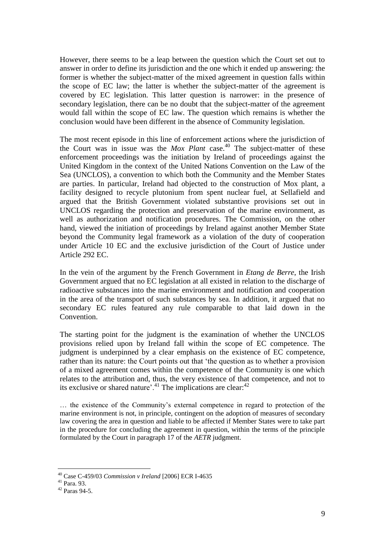However, there seems to be a leap between the question which the Court set out to answer in order to define its jurisdiction and the one which it ended up answering: the former is whether the subject-matter of the mixed agreement in question falls within the scope of EC law; the latter is whether the subject-matter of the agreement is covered by EC legislation. This latter question is narrower: in the presence of secondary legislation, there can be no doubt that the subject-matter of the agreement would fall within the scope of EC law. The question which remains is whether the conclusion would have been different in the absence of Community legislation.

The most recent episode in this line of enforcement actions where the jurisdiction of the Court was in issue was the *Mox Plant* case.<sup>40</sup> The subject-matter of these enforcement proceedings was the initiation by Ireland of proceedings against the United Kingdom in the context of the United Nations Convention on the Law of the Sea (UNCLOS), a convention to which both the Community and the Member States are parties. In particular, Ireland had objected to the construction of Mox plant, a facility designed to recycle plutonium from spent nuclear fuel, at Sellafield and argued that the British Government violated substantive provisions set out in UNCLOS regarding the protection and preservation of the marine environment, as well as authorization and notification procedures. The Commission, on the other hand, viewed the initiation of proceedings by Ireland against another Member State beyond the Community legal framework as a violation of the duty of cooperation under Article 10 EC and the exclusive jurisdiction of the Court of Justice under Article 292 EC.

In the vein of the argument by the French Government in *Etang de Berre*, the Irish Government argued that no EC legislation at all existed in relation to the discharge of radioactive substances into the marine environment and notification and cooperation in the area of the transport of such substances by sea. In addition, it argued that no secondary EC rules featured any rule comparable to that laid down in the Convention.

The starting point for the judgment is the examination of whether the UNCLOS provisions relied upon by Ireland fall within the scope of EC competence. The judgment is underpinned by a clear emphasis on the existence of EC competence, rather than its nature: the Court points out that 'the question as to whether a provision of a mixed agreement comes within the competence of the Community is one which relates to the attribution and, thus, the very existence of that competence, and not to its exclusive or shared nature'.<sup>41</sup> The implications are clear:<sup>42</sup>

… the existence of the Community's external competence in regard to protection of the marine environment is not, in principle, contingent on the adoption of measures of secondary law covering the area in question and liable to be affected if Member States were to take part in the procedure for concluding the agreement in question, within the terms of the principle formulated by the Court in paragraph 17 of the *AETR* judgment.

<sup>40</sup> Case C-459/03 *Commission v Ireland* [2006] ECR I-4635

<sup>41</sup> Para. 93.

 $42$  Paras 94-5.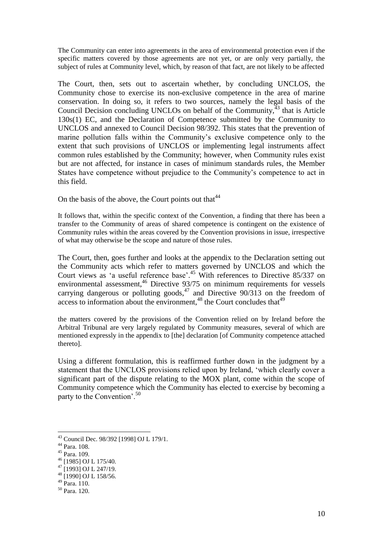The Community can enter into agreements in the area of environmental protection even if the specific matters covered by those agreements are not yet, or are only very partially, the subject of rules at Community level, which, by reason of that fact, are not likely to be affected

The Court, then, sets out to ascertain whether, by concluding UNCLOS, the Community chose to exercise its non-exclusive competence in the area of marine conservation. In doing so, it refers to two sources, namely the legal basis of the Council Decision concluding UNCLOs on behalf of the Community,  $43$  that is Article 130s(1) EC, and the Declaration of Competence submitted by the Community to UNCLOS and annexed to Council Decision 98/392. This states that the prevention of marine pollution falls within the Community's exclusive competence only to the extent that such provisions of UNCLOS or implementing legal instruments affect common rules established by the Community; however, when Community rules exist but are not affected, for instance in cases of minimum standards rules, the Member States have competence without prejudice to the Community's competence to act in this field.

On the basis of the above, the Court points out that  $44$ 

It follows that, within the specific context of the Convention, a finding that there has been a transfer to the Community of areas of shared competence is contingent on the existence of Community rules within the areas covered by the Convention provisions in issue, irrespective of what may otherwise be the scope and nature of those rules.

The Court, then, goes further and looks at the appendix to the Declaration setting out the Community acts which refer to matters governed by UNCLOS and which the Court views as 'a useful reference base'. <sup>45</sup> With references to Directive 85/337 on environmental assessment, $46$  Directive 93/75 on minimum requirements for vessels carrying dangerous or polluting goods,  $47$  and Directive 90/313 on the freedom of  $\frac{1}{2}$  access to information about the environment,<sup>48</sup> the Court concludes that<sup>49</sup>

the matters covered by the provisions of the Convention relied on by Ireland before the Arbitral Tribunal are very largely regulated by Community measures, several of which are mentioned expressly in the appendix to [the] declaration [of Community competence attached thereto].

Using a different formulation, this is reaffirmed further down in the judgment by a statement that the UNCLOS provisions relied upon by Ireland, 'which clearly cover a significant part of the dispute relating to the MOX plant, come within the scope of Community competence which the Community has elected to exercise by becoming a party to the Convention'.<sup>50</sup>

<sup>43</sup> Council Dec. 98/392 [1998] OJ L 179/1.

<sup>44</sup> Para. 108.

<sup>45</sup> Para. 109.

<sup>46</sup> [1985] OJ L 175/40.

 $^{47}$  [1993] OJ L 247/19.

 $^{48}$  [1990] OJ L 158/56.

 $^{49}$  Para. 110.

<sup>50</sup> Para. 120.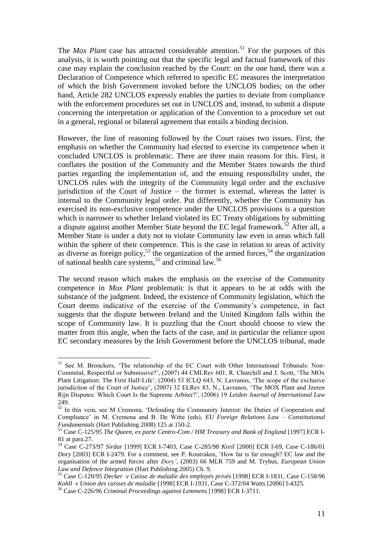The *Mox Plant* case has attracted considerable attention.<sup>51</sup> For the purposes of this analysis, it is worth pointing out that the specific legal and factual framework of this case may explain the conclusion reached by the Court: on the one hand, there was a Declaration of Competence which referred to specific EC measures the interpretation of which the Irish Government invoked before the UNCLOS bodies; on the other hand, Article 282 UNCLOS expressly enables the parties to deviate from compliance with the enforcement procedures set out in UNCLOS and, instead, to submit a dispute concerning the interpretation or application of the Convention to a procedure set out in a general, regional or bilateral agreement that entails a binding decision.

However, the line of reasoning followed by the Court raises two issues. First, the emphasis on whether the Community had elected to exercise its competence when it concluded UNCLOS is problematic. There are three main reasons for this. First, it conflates the position of the Community and the Member States towards the third parties regarding the implementation of, and the ensuing responsibility under, the UNCLOS rules with the integrity of the Community legal order and the exclusive jurisdiction of the Court of Justice – the former is external, whereas the latter is internal to the Community legal order. Put differently, whether the Community has exercised its non-exclusive competence under the UNCLOS provisions is a question which is narrower to whether Ireland violated its EC Treaty obligations by submitting a dispute against another Member State beyond the EC legal framework.<sup>52</sup> After all, a Member State is under a duty not to violate Community law even in areas which fall within the sphere of their competence. This is the case in relation to areas of activity as diverse as foreign policy,  $53$  the organization of the armed forces,  $54$  the organization of national health care systems,<sup>55</sup> and criminal law.<sup>56</sup>

The second reason which makes the emphasis on the exercise of the Community competence in *Mox Plant* problematic is that it appears to be at odds with the substance of the judgment. Indeed, the existence of Community legislation, which the Court deems indicative of the exercise of the Community's competence, in fact suggests that the dispute between Ireland and the United Kingdom falls within the scope of Community law. It is puzzling that the Court should choose to view the matter from this angle, when the facts of the case, and in particular the reliance upon EC secondary measures by the Irish Government before the UNCLOS tribunal, made

<sup>&</sup>lt;sup>51</sup> See M. Bronckers, 'The relationship of the EC Court with Other International Tribunals: Non-Commital, Respectful or Submissive?', (2007) 44 CMLRev 601, R. Churchill and J. Scott, 'The MOx Plant Litigation: The First Half-Life', (2004) 53 ICLQ 643, N. Lavranos, 'The scope of the exclusive jurisdiction of the Court of Justice', (2007) 32 ELRev 83, N., Lavranos, 'The MOX Plant and Jzeren Rijn Disputes: Which Court Is the Supreme Arbiter?', (2006) 19 *Leiden Journal of International Law* 249.

 $52 \text{ In this vein, see M Cremona, 'Defending the Community Interest: the Duties of Cooperation and$ Compliance' in M. Cremona and B. De Witte (eds), *EU Foreign Relations Law – Constitutional Fundamentals* (Hart Publishing 2008) 125 at 150-2.

<sup>53</sup> Case C-125/95 *The Queen, ex parte Centro-Com / HM Treasury and Bank of England* [1997] ECR I-81 at para.27.

<sup>54</sup> Case C-273/97 *Sirdar* [1999] ECR I-7403, Case C-285/98 *Kreil* [2000] ECR I-69, Case C-186/01 *Dory* [2003] ECR I-2479. For a comment, see P. Koutrakos, 'How far is far enough? EC law and the organisation of the armed forces after *Dory'*, (2003) 66 MLR 759 and M. Trybus, *European Union Law and Defence Integration* (Hart Publishing 2005) Ch. 9.

<sup>55</sup> Case C-120/95 *Decker v Caisse de maladie des employés privés* [1998] ECR I-1831, Case C-158/96 *Kohll v Union des caisses de maladie* [1998] ECR I-1931, Case C-372/04 *Watts* [2006] I-4325.

<sup>56</sup> Case C-226/96 *Criminal Proceedings against Lemmens* [1998] ECR I-3711.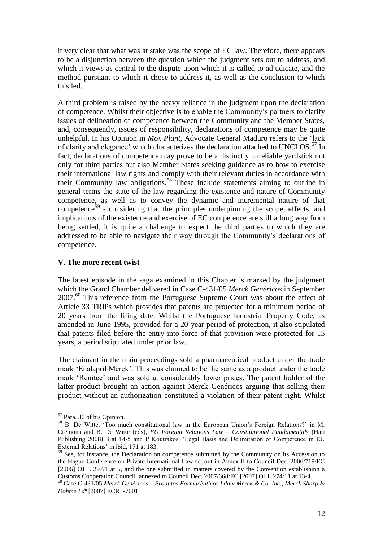it very clear that what was at stake was the scope of EC law. Therefore, there appears to be a disjunction between the question which the judgment sets out to address, and which it views as central to the dispute upon which it is called to adjudicate, and the method pursuant to which it chose to address it, as well as the conclusion to which this led.

A third problem is raised by the heavy reliance in the judgment upon the declaration of competence. Whilst their objective is to enable the Community's partners to clarify issues of delineation of competence between the Community and the Member States, and, consequently, issues of responsibility, declarations of competence may be quite unhelpful. In his Opinion in *Mox Plant*, Advocate General Maduro refers to the 'lack of clarity and elegance' which characterizes the declaration attached to UNCLOS.<sup>57</sup> In fact, declarations of competence may prove to be a distinctly unreliable yardstick not only for third parties but also Member States seeking guidance as to how to exercise their international law rights and comply with their relevant duties in accordance with their Community law obligations.<sup>58</sup> These include statements aiming to outline in general terms the state of the law regarding the existence and nature of Community competence, as well as to convey the dynamic and incremental nature of that competence<sup>59</sup> - considering that the principles underpinning the scope, effects, and implications of the existence and exercise of EC competence are still a long way from being settled, it is quite a challenge to expect the third parties to which they are addressed to be able to navigate their way through the Community's declarations of competence.

#### **V. The more recent twist**

The latest episode in the saga examined in this Chapter is marked by the judgment which the Grand Chamber delivered in Case C-431/05 *Merck Genéricos* in September 2007.<sup>60</sup> This reference from the Portuguese Supreme Court was about the effect of Article 33 TRIPs which provides that patents are protected for a minimum period of 20 years from the filing date. Whilst the Portuguese Industrial Property Code, as amended in June 1995, provided for a 20-year period of protection, it also stipulated that patents filed before the entry into force of that provision were protected for 15 years, a period stipulated under prior law.

The claimant in the main proceedings sold a pharmaceutical product under the trade mark 'Enalapril Merck'. This was claimed to be the same as a product under the trade mark 'Renitec' and was sold at considerably lower prices. The patent holder of the latter product brought an action against Merck Genéricos arguing that selling their product without an authorization constituted a violation of their patent right. Whilst

<sup>57</sup> Para. 30 of his Opinion.

<sup>58</sup> B. De Witte, 'Too much constitutional law in the European Union's Foreign Relations?' in M. Cremona and B. De Witte (eds), *EU Foreign Relations Law – Constitutional Fundamentals* (Hart Publishing 2008) 3 at 14-5 and P Koutrakos, 'Legal Basis and Delimitation of Competence in EU External Relations' in ibid, 171 at 183.

<sup>&</sup>lt;sup>59</sup> See, for instance, the Declaration on competence submitted by the Community on its Accession to the Hague Conference on Private International Law set out in Annex II to Council Dec. 2006/719/EC [2006] OJ L 297/1 at 5, and the one submitted in matters covered by the Convention establishing a Customs Cooperation Council annexed to Council Dec. 2007/668/EC [2007] OJ L 274/11 at 13-4.

<sup>60</sup> Case C-431/05 *Merck Genéricos – Produtos Farmacêuticos Lda v Merck & Co. Inc., Merck Sharp & Dohme Ldª* [2007] ECR I-7001.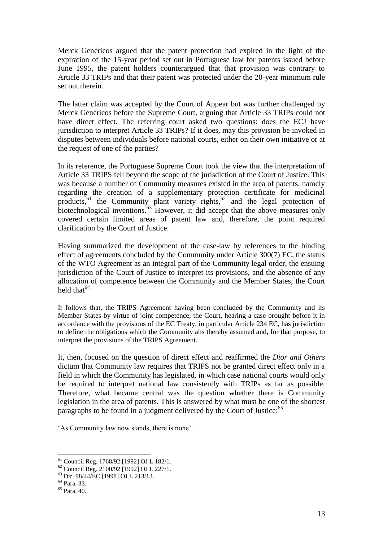Merck Genéricos argued that the patent protection had expired in the light of the expiration of the 15-year period set out in Portuguese law for patents issued before June 1995, the patent holders counterargued that that provision was contrary to Article 33 TRIPs and that their patent was protected under the 20-year minimum rule set out therein.

The latter claim was accepted by the Court of Appear but was further challenged by Merck Genéricos before the Supreme Court, arguing that Article 33 TRIPs could not have direct effect. The referring court asked two questions: does the ECJ have jurisdiction to interpret Article 33 TRIPs? If it does, may this provision be invoked in disputes between individuals before national courts, either on their own initiative or at the request of one of the parties?

In its reference, the Portuguese Supreme Court took the view that the interpretation of Article 33 TRIPS fell beyond the scope of the jurisdiction of the Court of Justice. This was because a number of Community measures existed in the area of patents, namely regarding the creation of a supplementary protection certificate for medicinal products,  $61$  the Community plant variety rights,  $62$  and the legal protection of biotechnological inventions.<sup>63</sup> However, it did accept that the above measures only covered certain limited areas of patent law and, therefore, the point required clarification by the Court of Justice.

Having summarized the development of the case-law by references to the binding effect of agreements concluded by the Community under Article 300(7) EC, the status of the WTO Agreement as an integral part of the Community legal order, the ensuing jurisdiction of the Court of Justice to interpret its provisions, and the absence of any allocation of competence between the Community and the Member States, the Court held that  $64$ 

It follows that, the TRIPS Agreement having been concluded by the Community and its Member States by virtue of joint competence, the Court, hearing a case brought before it in accordance with the provisions of the EC Treaty, in particular Article 234 EC, has jurisdiction to define the obligations which the Community ahs thereby assumed and, for that purpose, to interpret the provisions of the TRIPS Agreement.

It, then, focused on the question of direct effect and reaffirmed the *Dior and Others*  dictum that Community law requires that TRIPS not be granted direct effect only in a field in which the Community has legislated, in which case national courts would only be required to interpret national law consistently with TRIPs as far as possible. Therefore, what became central was the question whether there is Community legislation in the area of patents. This is answered by what must be one of the shortest paragraphs to be found in a judgment delivered by the Court of Justice:<sup>65</sup>

'As Community law now stands, there is none'.

<sup>61</sup> Council Reg. 1768/92 [1992] OJ L 182/1.

<sup>62</sup> Council Reg. 2100/92 [1992] OJ L 227/1.

<sup>63</sup> Dir. 98/44/EC [1998] OJ L 213/13.

 $64$  Para. 33.

<sup>65</sup> Para. 40.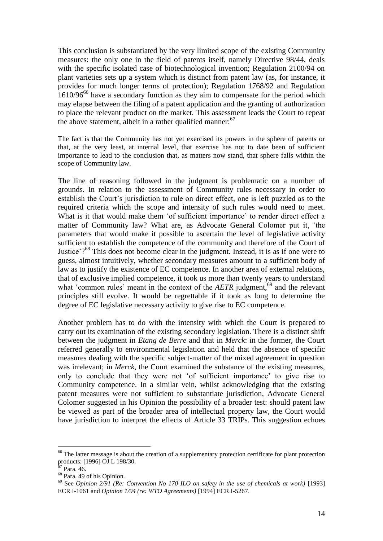This conclusion is substantiated by the very limited scope of the existing Community measures: the only one in the field of patents itself, namely Directive 98/44, deals with the specific isolated case of biotechnological invention; Regulation 2100/94 on plant varieties sets up a system which is distinct from patent law (as, for instance, it provides for much longer terms of protection); Regulation 1768/92 and Regulation  $1610/96^{66}$  have a secondary function as they aim to compensate for the period which may elapse between the filing of a patent application and the granting of authorization to place the relevant product on the market. This assessment leads the Court to repeat the above statement, albeit in a rather qualified manner:  $67$ 

The fact is that the Community has not yet exercised its powers in the sphere of patents or that, at the very least, at internal level, that exercise has not to date been of sufficient importance to lead to the conclusion that, as matters now stand, that sphere falls within the scope of Community law.

The line of reasoning followed in the judgment is problematic on a number of grounds. In relation to the assessment of Community rules necessary in order to establish the Court's jurisdiction to rule on direct effect, one is left puzzled as to the required criteria which the scope and intensity of such rules would need to meet. What is it that would make them 'of sufficient importance' to render direct effect a matter of Community law? What are, as Advocate General Colomer put it, 'the parameters that would make it possible to ascertain the level of legislative activity sufficient to establish the competence of the community and therefore of the Court of Justice'?<sup>68</sup> This does not become clear in the judgment. Instead, it is as if one were to guess, almost intuitively, whether secondary measures amount to a sufficient body of law as to justify the existence of EC competence. In another area of external relations, that of exclusive implied competence, it took us more than twenty years to understand what 'common rules' meant in the context of the *AETR* judgment,<sup>69</sup> and the relevant principles still evolve. It would be regrettable if it took as long to determine the degree of EC legislative necessary activity to give rise to EC competence.

Another problem has to do with the intensity with which the Court is prepared to carry out its examination of the existing secondary legislation. There is a distinct shift between the judgment in *Etang de Berre* and that in *Merck*: in the former, the Court referred generally to environmental legislation and held that the absence of specific measures dealing with the specific subject-matter of the mixed agreement in question was irrelevant; in *Merck*, the Court examined the substance of the existing measures, only to conclude that they were not 'of sufficient importance' to give rise to Community competence. In a similar vein, whilst acknowledging that the existing patent measures were not sufficient to substantiate jurisdiction, Advocate General Colomer suggested in his Opinion the possibility of a broader test: should patent law be viewed as part of the broader area of intellectual property law, the Court would have jurisdiction to interpret the effects of Article 33 TRIPs. This suggestion echoes

<sup>&</sup>lt;sup>66</sup> The latter message is about the creation of a supplementary protection certificate for plant protection products: [1996] OJ L 198/30.

 $67$  Para. 46.

 $68$  Para. 49 of his Opinion.

<sup>69</sup> See *Opinion 2/91 (Re: Convention No 170 ILO on safety in the use of chemicals at work)* [1993] ECR I-1061 and *Opinion 1/94 (re: WTO Agreements)* [1994] ECR I-5267.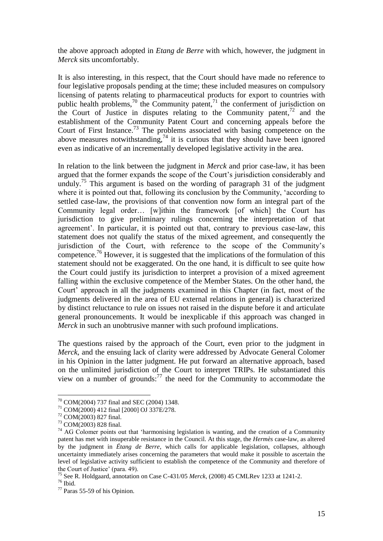the above approach adopted in *Etang de Berre* with which, however, the judgment in *Merck* sits uncomfortably.

It is also interesting, in this respect, that the Court should have made no reference to four legislative proposals pending at the time; these included measures on compulsory licensing of patents relating to pharmaceutical products for export to countries with public health problems,<sup>70</sup> the Community patent,<sup>71</sup> the conferment of jurisdiction on the Court of Justice in disputes relating to the Community patent, $72$  and the establishment of the Community Patent Court and concerning appeals before the Court of First Instance. <sup>73</sup> The problems associated with basing competence on the above measures notwithstanding,<sup>74</sup> it is curious that they should have been ignored even as indicative of an incrementally developed legislative activity in the area.

In relation to the link between the judgment in *Merck* and prior case-law, it has been argued that the former expands the scope of the Court's jurisdiction considerably and unduly.<sup>75</sup> This argument is based on the wording of paragraph 31 of the judgment where it is pointed out that, following its conclusion by the Community, 'according to settled case-law, the provisions of that convention now form an integral part of the Community legal order… [w]ithin the framework [of which] the Court has jurisdiction to give preliminary rulings concerning the interpretation of that agreement'. In particular, it is pointed out that, contrary to previous case-law, this statement does not qualify the status of the mixed agreement, and consequently the jurisdiction of the Court, with reference to the scope of the Community's competence.<sup>76</sup> However, it is suggested that the implications of the formulation of this statement should not be exaggerated. On the one hand, it is difficult to see quite how the Court could justify its jurisdiction to interpret a provision of a mixed agreement falling within the exclusive competence of the Member States. On the other hand, the Court' approach in all the judgments examined in this Chapter (in fact, most of the judgments delivered in the area of EU external relations in general) is characterized by distinct reluctance to rule on issues not raised in the dispute before it and articulate general pronouncements. It would be inexplicable if this approach was changed in *Merck* in such an unobtrusive manner with such profound implications.

The questions raised by the approach of the Court, even prior to the judgment in *Merck*, and the ensuing lack of clarity were addressed by Advocate General Colomer in his Opinion in the latter judgment. He put forward an alternative approach, based on the unlimited jurisdiction of the Court to interpret TRIPs. He substantiated this view on a number of grounds: $^{77}$  the need for the Community to accommodate the

<sup>70</sup> COM(2004) 737 final and SEC (2004) 1348.

<sup>71</sup> COM(2000) 412 final [2000] OJ 337E/278.

<sup>72</sup> COM(2003) 827 final.

<sup>73</sup> COM(2003) 828 final.

 $74$  AG Colomer points out that 'harmonising legislation is wanting, and the creation of a Community patent has met with insuperable resistance in the Council. At this stage, the *Hermès* case-law, as altered by the judgment in *Étang de Berre*, which calls for applicable legislation, collapses, although uncertainty immediately arises concerning the parameters that would make it possible to ascertain the level of legislative activity sufficient to establish the competence of the Community and therefore of the Court of Justice' (para. 49).

<sup>75</sup> See R. Holdgaard, annotation on Case C-431/05 *Merck*, (2008) 45 CMLRev 1233 at 1241-2.

 $76$  Ibid.

<sup>77</sup> Paras 55-59 of his Opinion.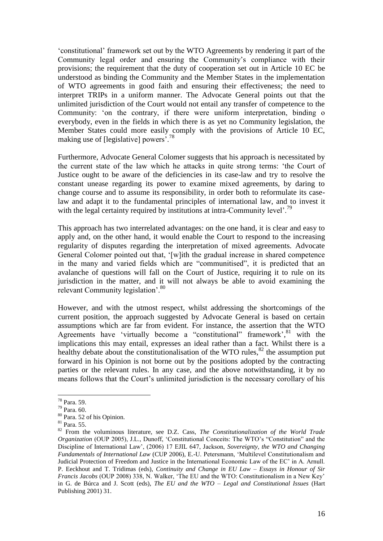'constitutional' framework set out by the WTO Agreements by rendering it part of the Community legal order and ensuring the Community's compliance with their provisions; the requirement that the duty of cooperation set out in Article 10 EC be understood as binding the Community and the Member States in the implementation of WTO agreements in good faith and ensuring their effectiveness; the need to interpret TRIPs in a uniform manner. The Advocate General points out that the unlimited jurisdiction of the Court would not entail any transfer of competence to the Community: 'on the contrary, if there were uniform interpretation, binding o everybody, even in the fields in which there is as yet no Community legislation, the Member States could more easily comply with the provisions of Article 10 EC, making use of [legislative] powers'.<sup>78</sup>

Furthermore, Advocate General Colomer suggests that his approach is necessitated by the current state of the law which he attacks in quite strong terms: 'the Court of Justice ought to be aware of the deficiencies in its case-law and try to resolve the constant unease regarding its power to examine mixed agreements, by daring to change course and to assume its responsibility, in order both to reformulate its caselaw and adapt it to the fundamental principles of international law, and to invest it with the legal certainty required by institutions at intra-Community level'.<sup>79</sup>

This approach has two interrelated advantages: on the one hand, it is clear and easy to apply and, on the other hand, it would enable the Court to respond to the increasing regularity of disputes regarding the interpretation of mixed agreements. Advocate General Colomer pointed out that, '[w]ith the gradual increase in shared competence in the many and varied fields which are "communitised", it is predicted that an avalanche of questions will fall on the Court of Justice, requiring it to rule on its jurisdiction in the matter, and it will not always be able to avoid examining the relevant Community legislation'.<sup>80</sup>

However, and with the utmost respect, whilst addressing the shortcomings of the current position, the approach suggested by Advocate General is based on certain assumptions which are far from evident. For instance, the assertion that the WTO Agreements have 'virtually become a "constitutional" framework', 81 with the implications this may entail, expresses an ideal rather than a fact. Whilst there is a healthy debate about the constitutionalisation of the WTO rules, $82$  the assumption put forward in his Opinion is not borne out by the positions adopted by the contracting parties or the relevant rules. In any case, and the above notwithstanding, it by no means follows that the Court's unlimited jurisdiction is the necessary corollary of his

<sup>78</sup> Para. 59.

<sup>79</sup> Para. 60.

<sup>80</sup> Para. 52 of his Opinion.

<sup>81</sup> Para. 55.

<sup>82</sup> From the voluminous literature, see D.Z. Cass, *The Constitutionalization of the World Trade Organization* (OUP 2005), J.L., Dunoff, 'Constitutional Conceits: The WTO's "Constitution" and the Discipline of International Law', (2006) 17 EJIL 647, Jackson, *Sovereignty, the WTO and Changing Fundamentals of International Law* (CUP 2006), E.-U. Petersmann, 'Multilevel Constitutionalism and Judicial Protection of Freedom and Justice in the International Economic Law of the EC' in A. Arnull. P. Eeckhout and T. Tridimas (eds), *Continuity and Change in EU Law – Essays in Honour of Sir Francis Jacobs* (OUP 2008) 338, N. Walker, 'The EU and the WTO: Constitutionalism in a New Key' in G. de Búrca and J. Scott (eds), *The EU and the WTO – Legal and Constitutional Issues* (Hart Publishing 2001) 31.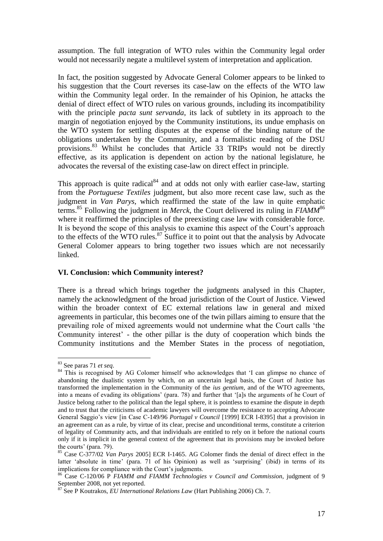assumption. The full integration of WTO rules within the Community legal order would not necessarily negate a multilevel system of interpretation and application.

In fact, the position suggested by Advocate General Colomer appears to be linked to his suggestion that the Court reverses its case-law on the effects of the WTO law within the Community legal order. In the remainder of his Opinion, he attacks the denial of direct effect of WTO rules on various grounds, including its incompatibility with the principle *pacta sunt servanda*, its lack of subtlety in its approach to the margin of negotiation enjoyed by the Community institutions, its undue emphasis on the WTO system for settling disputes at the expense of the binding nature of the obligations undertaken by the Community, and a formalistic reading of the DSU provisions.<sup>83</sup> Whilst he concludes that Article 33 TRIPs would not be directly effective, as its application is dependent on action by the national legislature, he advocates the reversal of the existing case-law on direct effect in principle.

This approach is quite radical $84$  and at odds not only with earlier case-law, starting from the *Portuguese Textiles* judgment, but also more recent case law, such as the judgment in *Van Parys*, which reaffirmed the state of the law in quite emphatic terms.<sup>85</sup> Following the judgment in *Merck*, the Court delivered its ruling in *FIAMM*<sup>86</sup> where it reaffirmed the principles of the preexisting case law with considerable force. It is beyond the scope of this analysis to examine this aspect of the Court's approach to the effects of the WTO rules. $87$  Suffice it to point out that the analysis by Advocate General Colomer appears to bring together two issues which are not necessarily linked.

#### **VI. Conclusion: which Community interest?**

There is a thread which brings together the judgments analysed in this Chapter, namely the acknowledgment of the broad jurisdiction of the Court of Justice. Viewed within the broader context of EC external relations law in general and mixed agreements in particular, this becomes one of the twin pillars aiming to ensure that the prevailing role of mixed agreements would not undermine what the Court calls 'the Community interest' - the other pillar is the duty of cooperation which binds the Community institutions and the Member States in the process of negotiation,

<sup>83</sup> See paras 71 *et seq*.

<sup>&</sup>lt;sup>84</sup> This is recognised by AG Colomer himself who acknowledges that 'I can glimpse no chance of abandoning the dualistic system by which, on an uncertain legal basis, the Court of Justice has transformed the implementation in the Community of the *ius gentium*, and of the WTO agreements, into a means of evading its obligations' (para. 78) and further that '[a]s the arguments of he Court of Justice belong rather to the political than the legal sphere, it is pointless to examine the dispute in depth and to trust that the criticisms of academic lawyers will overcome the resistance to accepting Advocate General Saggio's view [in Case C-149/96 *Portugal v Council* [1999] ECR I-8395] that a provision in an agreement can as a rule, by virtue of its clear, precise and unconditional terms, constitute a criterion of legality of Community acts, and that individuals are entitled to rely on it before the national courts only if it is implicit in the general context of the agreement that its provisions may be invoked before the courts' (para. 79).

<sup>85</sup> Case C-377/02 *Van Parys* 2005] ECR I-1465. AG Colomer finds the denial of direct effect in the latter 'absolute in time' (para. 71 of his Opinion) as well as 'surprising' (ibid) in terms of its implications for compliance with the Court's judgments.

<sup>86</sup> Case C-120/06 P *FIAMM and FIAMM Technologies v Council and Commission*, judgment of 9 September 2008, not yet reported.

<sup>87</sup> See P Koutrakos, *EU International Relations Law* (Hart Publishing 2006) Ch. 7.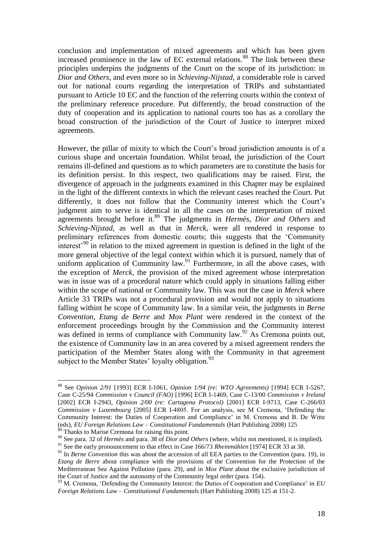conclusion and implementation of mixed agreements and which has been given increased prominence in the law of EC external relations.<sup>88</sup> The link between these principles underpins the judgments of the Court on the scope of its jurisdiction: in *Dior and Others*, and even more so in *Schieving-Nijstad*, a considerable role is carved out for national courts regarding the interpretation of TRIPs and substantiated pursuant to Article 10 EC and the function of the referring courts within the context of the preliminary reference procedure. Put differently, the broad construction of the duty of cooperation and its application to national courts too has as a corollary the broad construction of the jurisdiction of the Court of Justice to interpret mixed agreements.

However, the pillar of mixity to which the Court's broad jurisdiction amounts is of a curious shape and uncertain foundation. Whilst broad, the jurisdiction of the Court remains ill-defined and questions as to which parameters are to constitute the basis for its definition persist. In this respect, two qualifications may be raised. First, the divergence of approach in the judgments examined in this Chapter may be explained in the light of the different contexts in which the relevant cases reached the Court. Put differently, it does not follow that the Community interest which the Court's judgment aim to serve is identical in all the cases on the interpretation of mixed agreements brought before it.<sup>89</sup> The judgments in *Hermès*, *Dior and Others* and *Schieving-Nijstad*, as well as that in *Merck*, were all rendered in response to preliminary references from domestic courts; this suggests that the 'Community interest'<sup>90</sup> in relation to the mixed agreement in question is defined in the light of the more general objective of the legal context within which it is pursued, namely that of uniform application of Community law.<sup>91</sup> Furthermore, in all the above cases, with the exception of *Merck*, the provision of the mixed agreement whose interpretation was in issue was of a procedural nature which could apply in situations falling either within the scope of national or Community law. This was not the case in *Merck* where Article 33 TRIPs was not a procedural provision and would not apply to situations falling withint he scope of Community law. In a similar vein, the judgments in *Berne Convention*, *Etang de Berre* and *Mox Plant* were rendered in the context of the enforcement proceedings brought by the Commission and the Community interest was defined in terms of compliance with Community law.<sup>92</sup> As Cremona points out, the existence of Community law in an area covered by a mixed agreement renders the participation of the Member States along with the Community in that agreement subject to the Member States' loyalty obligation.<sup>93</sup>

<sup>88</sup> See *Opinion 2/91* [1993] ECR I-1061, *Opinion 1/94 (re: WTO Agreements)* [1994] ECR I-5267, Case C-25/94 *Commission v Council (FAO)* [1996] ECR I-1469, Case C-13/00 *Commission v Ireland*  [2002] ECR I-2943, *Opinion 2/00 (re: Cartagena Protocol)* [2001] ECR I-9713, Case C-266/03 *Commission v Luxembourg* [2005] ECR I-4805. For an analysis, see M Cremona, 'Defending the Community Interest: the Duties of Cooperation and Compliance' in M. Cremona and B. De Witte (eds), *EU Foreign Relations Law – Constitutional Fundamentals* (Hart Publishing 2008) 125 <sup>89</sup> Thanks to Marise Cremona for raising this point.

<sup>90</sup> See para. 32 of *Hermès* and para. 38 of *Dior and Others* (where, whilst not mentioned, it is implied). <sup>91</sup> See the early pronouncement to that effect in Case 166/73 *Rheinmühlen* [1974] ECR 33 at 38.

<sup>&</sup>lt;sup>92</sup> In *Berne Convention* this was about the accession of all EEA parties to the Convention (para. 19), in *Etang de Berre* about compliance with the provisions of the Convention for the Protection of the Mediterranean Sea Against Pollution (para. 29), and in *Mox Plant* about the exclusive jurisdiction of the Court of Justice and the autonomy of the Community legal order (para. 154).

<sup>&</sup>lt;sup>93</sup> M. Cremona, 'Defending the Community Interest: the Duties of Cooperation and Compliance' in *EU Foreign Relations Law – Constitutional Fundamentals* (Hart Publishing 2008) 125 at 151-2.